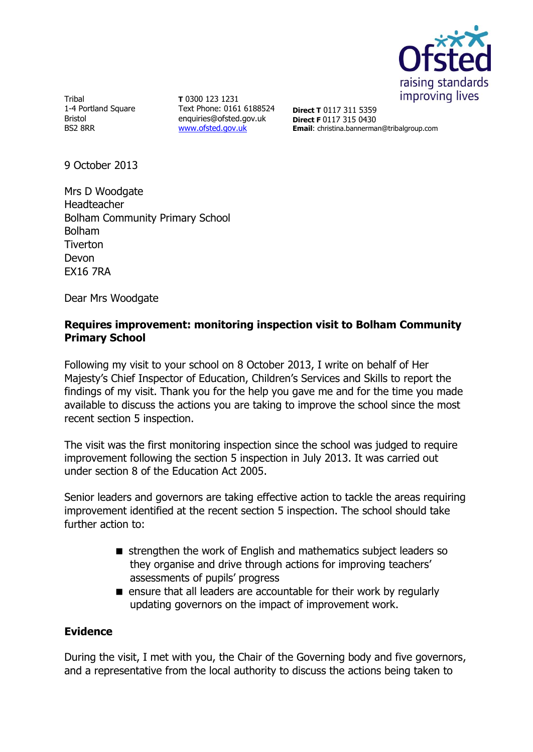

Tribal 1-4 Portland Square Bristol BS2 8RR

**T** 0300 123 1231 Text Phone: 0161 6188524 enquiries@ofsted.gov.uk [www.ofsted.gov.uk](http://www.ofsted.gov.uk/)

**Direct T** 0117 311 5359 **Direct F** 0117 315 0430 **Email**: christina.bannerman@tribalgroup.com

9 October 2013

Mrs D Woodgate Headteacher Bolham Community Primary School Bolham Tiverton Devon EX16 7RA

Dear Mrs Woodgate

## **Requires improvement: monitoring inspection visit to Bolham Community Primary School**

Following my visit to your school on 8 October 2013, I write on behalf of Her Majesty's Chief Inspector of Education, Children's Services and Skills to report the findings of my visit. Thank you for the help you gave me and for the time you made available to discuss the actions you are taking to improve the school since the most recent section 5 inspection.

The visit was the first monitoring inspection since the school was judged to require improvement following the section 5 inspection in July 2013. It was carried out under section 8 of the Education Act 2005.

Senior leaders and governors are taking effective action to tackle the areas requiring improvement identified at the recent section 5 inspection. The school should take further action to:

- strengthen the work of English and mathematics subject leaders so they organise and drive through actions for improving teachers' assessments of pupils' progress
- **E** ensure that all leaders are accountable for their work by regularly updating governors on the impact of improvement work.

## **Evidence**

During the visit, I met with you, the Chair of the Governing body and five governors, and a representative from the local authority to discuss the actions being taken to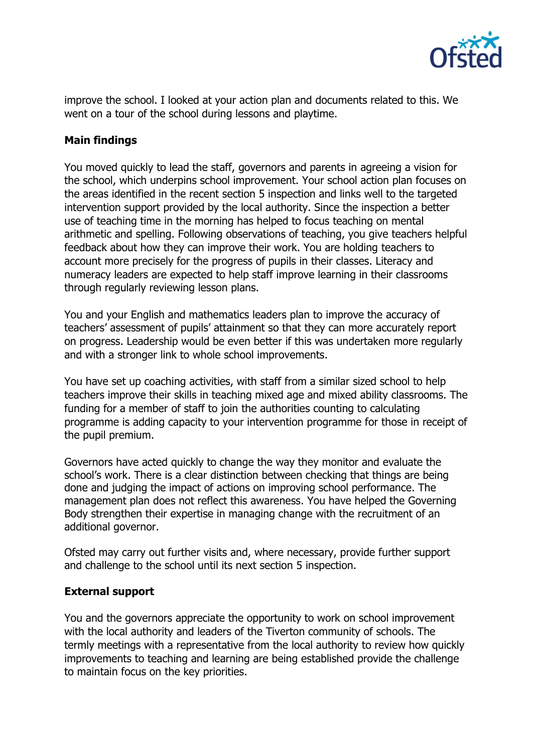

improve the school. I looked at your action plan and documents related to this. We went on a tour of the school during lessons and playtime.

## **Main findings**

You moved quickly to lead the staff, governors and parents in agreeing a vision for the school, which underpins school improvement. Your school action plan focuses on the areas identified in the recent section 5 inspection and links well to the targeted intervention support provided by the local authority. Since the inspection a better use of teaching time in the morning has helped to focus teaching on mental arithmetic and spelling. Following observations of teaching, you give teachers helpful feedback about how they can improve their work. You are holding teachers to account more precisely for the progress of pupils in their classes. Literacy and numeracy leaders are expected to help staff improve learning in their classrooms through regularly reviewing lesson plans.

You and your English and mathematics leaders plan to improve the accuracy of teachers' assessment of pupils' attainment so that they can more accurately report on progress. Leadership would be even better if this was undertaken more regularly and with a stronger link to whole school improvements.

You have set up coaching activities, with staff from a similar sized school to help teachers improve their skills in teaching mixed age and mixed ability classrooms. The funding for a member of staff to join the authorities counting to calculating programme is adding capacity to your intervention programme for those in receipt of the pupil premium.

Governors have acted quickly to change the way they monitor and evaluate the school's work. There is a clear distinction between checking that things are being done and judging the impact of actions on improving school performance. The management plan does not reflect this awareness. You have helped the Governing Body strengthen their expertise in managing change with the recruitment of an additional governor.

Ofsted may carry out further visits and, where necessary, provide further support and challenge to the school until its next section 5 inspection.

## **External support**

You and the governors appreciate the opportunity to work on school improvement with the local authority and leaders of the Tiverton community of schools. The termly meetings with a representative from the local authority to review how quickly improvements to teaching and learning are being established provide the challenge to maintain focus on the key priorities.